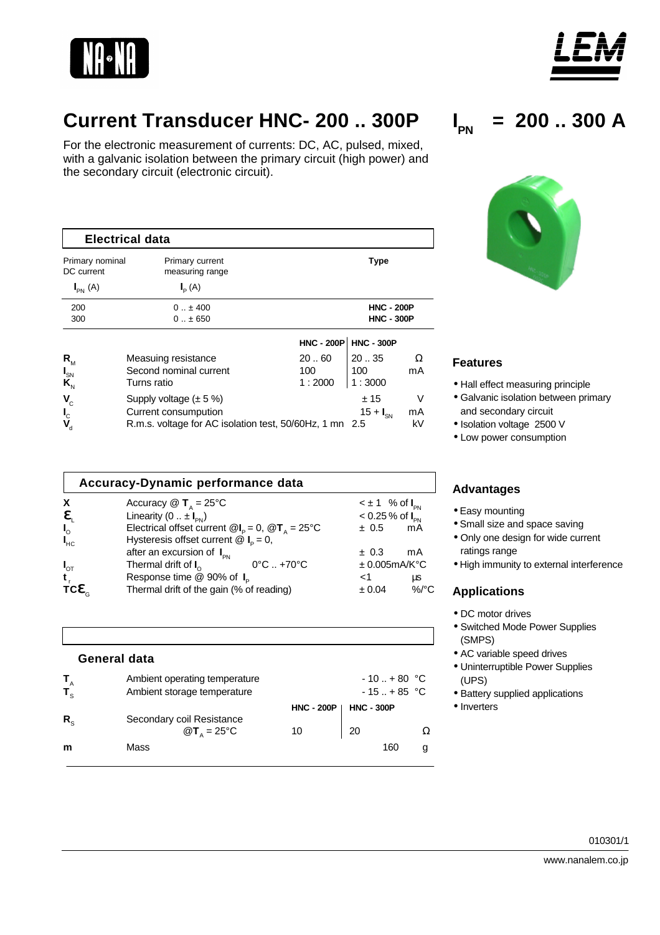



For the electronic measurement of currents: DC, AC, pulsed, mixed, with a galvanic isolation between the primary circuit (high power) and the secondary circuit (electronic circuit).

| Electrical data                                         |                                    |        |                         |    |  |  |  |  |
|---------------------------------------------------------|------------------------------------|--------|-------------------------|----|--|--|--|--|
| Primary nominal<br>DC current                           | Primary current<br>measuring range |        | <b>Type</b>             |    |  |  |  |  |
| $I_{PN}$ (A)                                            | $I_{\rm p}(A)$                     |        |                         |    |  |  |  |  |
| 200                                                     | $0.1 \pm 400$                      |        | <b>HNC - 200P</b>       |    |  |  |  |  |
| 300                                                     | $0 \pm 650$                        |        | <b>HNC - 300P</b>       |    |  |  |  |  |
|                                                         |                                    |        | $HNC - 200P$ HNC - 300P |    |  |  |  |  |
| $R_{M}$                                                 | Measuing resistance                | 2060   | 2035                    | Ω  |  |  |  |  |
| $I_{SN}$                                                | Second nominal current             | 100    | 100                     | mA |  |  |  |  |
| $\mathbf{K}_{N}$                                        | Turns ratio                        | 1:2000 | 1:3000                  |    |  |  |  |  |
| $V_{\rm c}$                                             | Supply voltage $(\pm 5\%)$         |        | ±15                     | ٧  |  |  |  |  |
| $\mathbf{I}_{\mathcal{C}}$                              | Current consumpution               |        | $15 + I_{SN}$           | mA |  |  |  |  |
| R.m.s. voltage for AC isolation test, 50/60Hz, 1 mn 2.5 |                                    |        |                         | kV |  |  |  |  |

|                | Accuracy-Dynamic performance data                                                   |                                   |          |
|----------------|-------------------------------------------------------------------------------------|-----------------------------------|----------|
| X              | Accuracy $\circledR$ <b>T</b> <sub><math>\Delta</math></sub> = 25°C                 | $\leq \pm 1$ % of $I_{\text{PN}}$ |          |
| ę              | Linearity $(0 \dots \pm I_{\text{pN}})$                                             | $< 0.25 %$ of $I_{\text{pN}}$     |          |
| $I_{\circ}$    | Electrical offset current $\mathcal{Q}I_{p} = 0$ , $\mathcal{Q}T_{A} = 25^{\circ}C$ | ± 0.5                             | mA       |
| $I_{HC}$       | Hysteresis offset current $\mathcal{Q} I_{\rm p} = 0$ ,                             |                                   |          |
|                | after an excursion of $I_{\text{PN}}$                                               | ± 0.3                             | mA       |
| $I_{\sigma T}$ | Thermal drift of $I_{\alpha}$<br>$0^{\circ}$ C $. +70^{\circ}$ C                    | ± 0.005mA/K°C                     |          |
|                | Response time @ 90% of I <sub>p</sub>                                               | ا>                                | μs       |
| TCC            | Thermal drift of the gain (% of reading)                                            | ± 0.04                            | $\%$ /°C |

|                        | <b>General data</b>                                             |                   |                                |   |
|------------------------|-----------------------------------------------------------------|-------------------|--------------------------------|---|
| $T_{A}$<br>$T_{\rm s}$ | Ambient operating temperature<br>Ambient storage temperature    |                   | $-10$ + 80 °C<br>$-15$ + 85 °C |   |
|                        |                                                                 | <b>HNC - 200P</b> | <b>HNC - 300P</b>              |   |
| $R_{\rm s}$            | Secondary coil Resistance<br>$\mathbf{Q}$ T <sub>A</sub> = 25°C | 10                | 20                             | Ω |
| m                      | Mass                                                            |                   | 160                            | g |





## **Features**

- Hall effect measuring principle
- Galvanic isolation between primary and secondary circuit
- Isolation voltage 2500 V
- Low power consumption

## **Advantages**

- Easy mounting
- Small size and space saving
- Only one design for wide current ratings range
- High immunity to external interference

## **Applications**

- DC motor drives
- Switched Mode Power Supplies (SMPS)
- AC variable speed drives
- Uninterruptible Power Supplies (UPS)
- Battery supplied applications
- Inverters